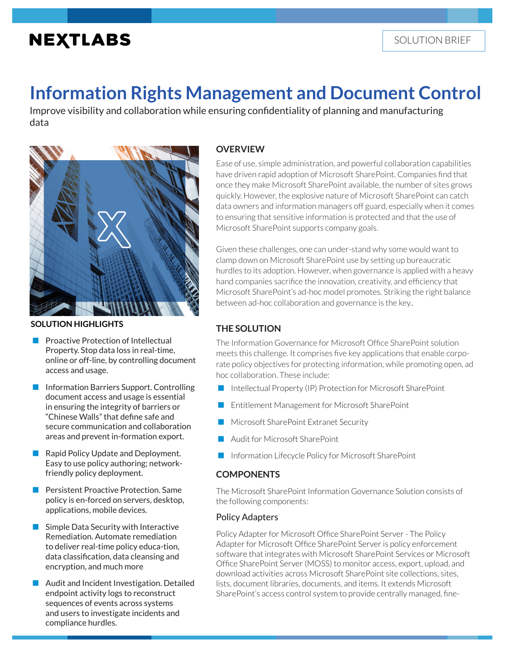# **NEXTLABS**

# **Information Rights Management and Document Control**

Improve visibility and collaboration while ensuring confidentiality of planning and manufacturing data



**SOLUTION HIGHLIGHTS**

- Proactive Protection of Intellectual Property. Stop data loss in real-time, online or off-line, by controlling document access and usage.
- Information Barriers Support. Controlling document access and usage is essential in ensuring the integrity of barriers or "Chinese Walls" that define safe and secure communication and collaboration areas and prevent in-formation export.
- Rapid Policy Update and Deployment. Easy to use policy authoring; networkfriendly policy deployment.
- Persistent Proactive Protection. Same policy is en-forced on servers, desktop, applications, mobile devices.
- Simple Data Security with Interactive Remediation. Automate remediation to deliver real-time policy educa-tion, data classification, data cleansing and encryption, and much more
- Audit and Incident Investigation. Detailed endpoint activity logs to reconstruct sequences of events across systems and users to investigate incidents and compliance hurdles.

## **OVERVIEW**

Ease of use, simple administration, and powerful collaboration capabilities have driven rapid adoption of Microsoft SharePoint. Companies find that once they make Microsoft SharePoint available, the number of sites grows quickly. However, the explosive nature of Microsoft SharePoint can catch data owners and information managers off guard, especially when it comes to ensuring that sensitive information is protected and that the use of Microsoft SharePoint supports company goals.

Given these challenges, one can under-stand why some would want to clamp down on Microsoft SharePoint use by setting up bureaucratic hurdles to its adoption. However, when governance is applied with a heavy hand companies sacrifice the innovation, creativity, and efficiency that Microsoft SharePoint's ad-hoc model promotes. Striking the right balance between ad-hoc collaboration and governance is the key..

# **THE SOLUTION**

The Information Governance for Microsoft Office SharePoint solution meets this challenge. It comprises five key applications that enable corporate policy objectives for protecting information, while promoting open, ad hoc collaboration. These include:

- Intellectual Property (IP) Protection for Microsoft SharePoint
- Entitlement Management for Microsoft SharePoint
- Microsoft SharePoint Extranet Security
- Audit for Microsoft SharePoint
- Information Lifecycle Policy for Microsoft SharePoint

## **COMPONENTS**

The Microsoft SharePoint Information Governance Solution consists of the following components:

### Policy Adapters

Policy Adapter for Microsoft Office SharePoint Server - The Policy Adapter for Microsoft Office SharePoint Server is policy enforcement software that integrates with Microsoft SharePoint Services or Microsoft Office SharePoint Server (MOSS) to monitor access, export, upload, and download activities across Microsoft SharePoint site collections, sites, lists, document libraries, documents, and items. It extends Microsoft SharePoint's access control system to provide centrally managed, fine